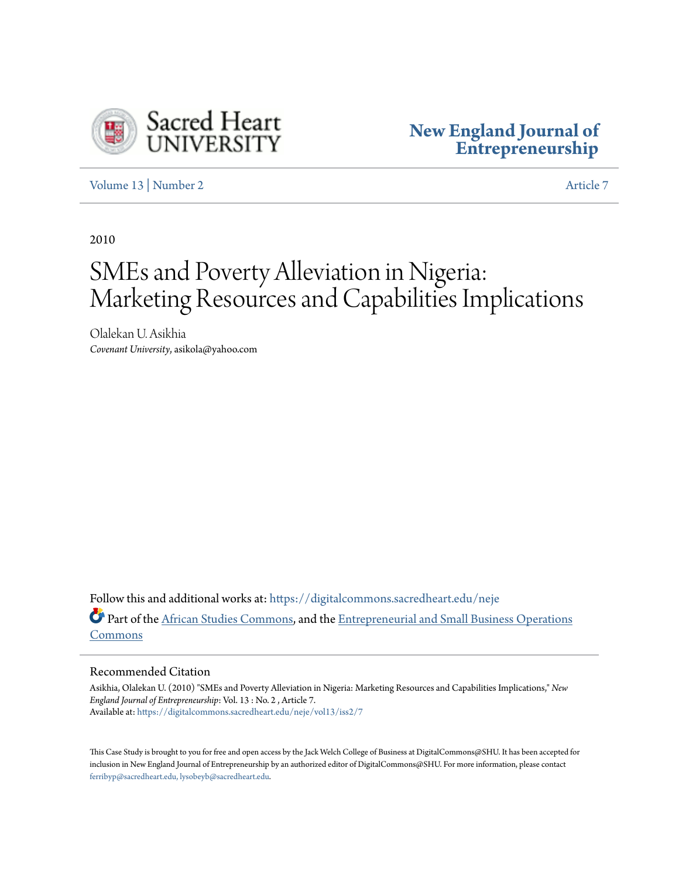

[Volume 13](https://digitalcommons.sacredheart.edu/neje/vol13?utm_source=digitalcommons.sacredheart.edu%2Fneje%2Fvol13%2Fiss2%2F7&utm_medium=PDF&utm_campaign=PDFCoverPages) | [Number 2](https://digitalcommons.sacredheart.edu/neje/vol13/iss2?utm_source=digitalcommons.sacredheart.edu%2Fneje%2Fvol13%2Fiss2%2F7&utm_medium=PDF&utm_campaign=PDFCoverPages) [Article 7](https://digitalcommons.sacredheart.edu/neje/vol13/iss2/7?utm_source=digitalcommons.sacredheart.edu%2Fneje%2Fvol13%2Fiss2%2F7&utm_medium=PDF&utm_campaign=PDFCoverPages)

2010

# SMEs and Poverty Alleviation in Nigeria: Marketing Resources and Capabilities Implications

Olalekan U. Asikhia *Covenant University*, asikola@yahoo.com

Follow this and additional works at: [https://digitalcommons.sacredheart.edu/neje](https://digitalcommons.sacredheart.edu/neje?utm_source=digitalcommons.sacredheart.edu%2Fneje%2Fvol13%2Fiss2%2F7&utm_medium=PDF&utm_campaign=PDFCoverPages) Part of the [African Studies Commons](http://network.bepress.com/hgg/discipline/1043?utm_source=digitalcommons.sacredheart.edu%2Fneje%2Fvol13%2Fiss2%2F7&utm_medium=PDF&utm_campaign=PDFCoverPages), and the [Entrepreneurial and Small Business Operations](http://network.bepress.com/hgg/discipline/630?utm_source=digitalcommons.sacredheart.edu%2Fneje%2Fvol13%2Fiss2%2F7&utm_medium=PDF&utm_campaign=PDFCoverPages) [Commons](http://network.bepress.com/hgg/discipline/630?utm_source=digitalcommons.sacredheart.edu%2Fneje%2Fvol13%2Fiss2%2F7&utm_medium=PDF&utm_campaign=PDFCoverPages)

#### Recommended Citation

Asikhia, Olalekan U. (2010) "SMEs and Poverty Alleviation in Nigeria: Marketing Resources and Capabilities Implications," *New England Journal of Entrepreneurship*: Vol. 13 : No. 2 , Article 7. Available at: [https://digitalcommons.sacredheart.edu/neje/vol13/iss2/7](https://digitalcommons.sacredheart.edu/neje/vol13/iss2/7?utm_source=digitalcommons.sacredheart.edu%2Fneje%2Fvol13%2Fiss2%2F7&utm_medium=PDF&utm_campaign=PDFCoverPages)

This Case Study is brought to you for free and open access by the Jack Welch College of Business at DigitalCommons@SHU. It has been accepted for inclusion in New England Journal of Entrepreneurship by an authorized editor of DigitalCommons@SHU. For more information, please contact [ferribyp@sacredheart.edu, lysobeyb@sacredheart.edu.](mailto:ferribyp@sacredheart.edu,%20lysobeyb@sacredheart.edu)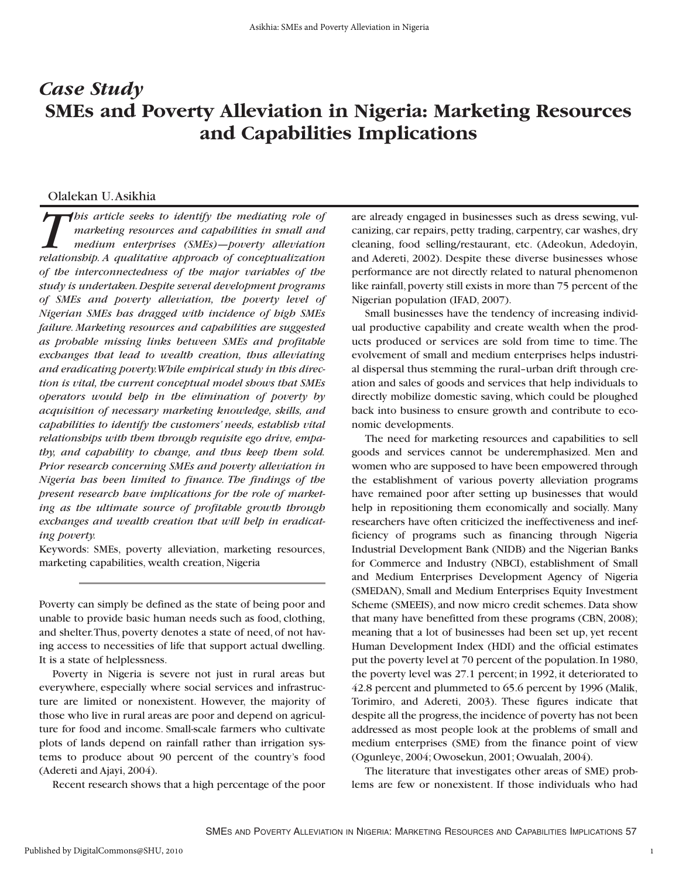# *Case Study* **SMEs and Poverty Alleviation in Nigeria: Marketing Resources and Capabilities Implications**

#### Olalekan U.Asikhia

**This article seeks to identify the mediating role of** marketing resources and capabilities in small and medium enterprises (SMEs)—poverty alleviation relationship. A qualitative approach of conceptualization *marketing resources and capabilities in small and medium enterprises (SMEs)—poverty alleviation relationship. A qualitative approach of conceptualization of the interconnectedness of the major variables of the study is undertaken.Despite several development programs of SMEs and poverty alleviation, the poverty level of Nigerian SMEs has dragged with incidence of high SMEs failure. Marketing resources and capabilities are suggested as probable missing links between SMEs and profitable exchanges that lead to wealth creation, thus alleviating and eradicating poverty.While empirical study in this direction is vital, the current conceptual model shows that SMEs operators would help in the elimination of poverty by acquisition of necessary marketing knowledge, skills, and capabilities to identify the customers' needs, establish vital relationships with them through requisite ego drive, empathy, and capability to change, and thus keep them sold. Prior research concerning SMEs and poverty alleviation in Nigeria has been limited to finance. The findings of the present research have implications for the role of marketing as the ultimate source of profitable growth through exchanges and wealth creation that will help in eradicating poverty.*

Keywords: SMEs, poverty alleviation, marketing resources, marketing capabilities, wealth creation, Nigeria

Poverty can simply be defined as the state of being poor and unable to provide basic human needs such as food, clothing, and shelter.Thus, poverty denotes a state of need, of not having access to necessities of life that support actual dwelling. It is a state of helplessness.

Poverty in Nigeria is severe not just in rural areas but everywhere, especially where social services and infrastructure are limited or nonexistent. However, the majority of those who live in rural areas are poor and depend on agriculture for food and income. Small-scale farmers who cultivate plots of lands depend on rainfall rather than irrigation systems to produce about 90 percent of the country's food (Adereti and Ajayi, 2004).

Recent research shows that a high percentage of the poor

are already engaged in businesses such as dress sewing, vulcanizing, car repairs, petty trading, carpentry, car washes, dry cleaning, food selling/restaurant, etc. (Adeokun, Adedoyin, and Adereti, 2002). Despite these diverse businesses whose performance are not directly related to natural phenomenon like rainfall, poverty still exists in more than 75 percent of the Nigerian population (IFAD, 2007).

Small businesses have the tendency of increasing individual productive capability and create wealth when the products produced or services are sold from time to time. The evolvement of small and medium enterprises helps industrial dispersal thus stemming the rural–urban drift through creation and sales of goods and services that help individuals to directly mobilize domestic saving, which could be ploughed back into business to ensure growth and contribute to economic developments.

The need for marketing resources and capabilities to sell goods and services cannot be underemphasized. Men and women who are supposed to have been empowered through the establishment of various poverty alleviation programs have remained poor after setting up businesses that would help in repositioning them economically and socially. Many researchers have often criticized the ineffectiveness and inefficiency of programs such as financing through Nigeria Industrial Development Bank (NIDB) and the Nigerian Banks for Commerce and Industry (NBCI), establishment of Small and Medium Enterprises Development Agency of Nigeria (SMEDAN), Small and Medium Enterprises Equity Investment Scheme (SMEEIS), and now micro credit schemes. Data show that many have benefitted from these programs (CBN, 2008); meaning that a lot of businesses had been set up, yet recent Human Development Index (HDI) and the official estimates put the poverty level at 70 percent of the population.In 1980, the poverty level was 27.1 percent; in 1992, it deteriorated to 42.8 percent and plummeted to 65.6 percent by 1996 (Malik, Torimiro, and Adereti, 2003). These figures indicate that despite all the progress, the incidence of poverty has not been addressed as most people look at the problems of small and medium enterprises (SME) from the finance point of view (Ogunleye, 2004; Owosekun, 2001; Owualah, 2004).

The literature that investigates other areas of SME) problems are few or nonexistent. If those individuals who had

1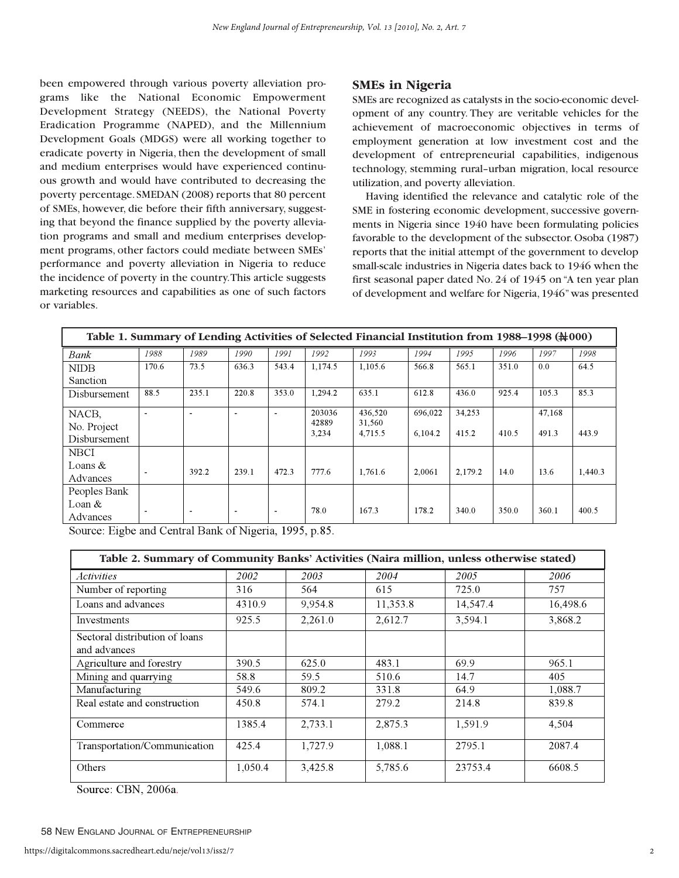been empowered through various poverty alleviation programs like the National Economic Empowerment Development Strategy (NEEDS), the National Poverty Eradication Programme (NAPED), and the Millennium Development Goals (MDGS) were all working together to eradicate poverty in Nigeria, then the development of small and medium enterprises would have experienced continuous growth and would have contributed to decreasing the poverty percentage.SMEDAN (2008) reports that 80 percent of SMEs, however, die before their fifth anniversary, suggesting that beyond the finance supplied by the poverty alleviation programs and small and medium enterprises development programs, other factors could mediate between SMEs' performance and poverty alleviation in Nigeria to reduce the incidence of poverty in the country.This article suggests marketing resources and capabilities as one of such factors or variables.

### **SMEs in Nigeria**

SMEs are recognized as catalysts in the socio-economic development of any country. They are veritable vehicles for the achievement of macroeconomic objectives in terms of employment generation at low investment cost and the development of entrepreneurial capabilities, indigenous technology, stemming rural–urban migration, local resource utilization, and poverty alleviation.

Having identified the relevance and catalytic role of the SME in fostering economic development, successive governments in Nigeria since 1940 have been formulating policies favorable to the development of the subsector. Osoba (1987) reports that the initial attempt of the government to develop small-scale industries in Nigeria dates back to 1946 when the first seasonal paper dated No. 24 of 1945 on "A ten year plan of development and welfare for Nigeria, 1946" was presented

| Table 1. Summary of Lending Activities of Selected Financial Institution from 1988–1998 (#000) |                          |                          |                |                |                |                   |         |         |       |        |         |
|------------------------------------------------------------------------------------------------|--------------------------|--------------------------|----------------|----------------|----------------|-------------------|---------|---------|-------|--------|---------|
| Bank                                                                                           | 1988                     | 1989                     | 1990           | 1991           | 1992           | 1993              | 1994    | 1995    | 1996  | 1997   | 1998    |
| <b>NIDB</b>                                                                                    | 170.6                    | 73.5                     | 636.3          | 543.4          | 1.174.5        | 1.105.6           | 566.8   | 565.1   | 351.0 | 0.0    | 64.5    |
| Sanction                                                                                       |                          |                          |                |                |                |                   |         |         |       |        |         |
| Disbursement                                                                                   | 88.5                     | 235.1                    | 220.8          | 353.0          | 1.294.2        | 635.1             | 612.8   | 436.0   | 925.4 | 105.3  | 85.3    |
| NACB,                                                                                          | ۰                        |                          |                | ۰.             | 203036         | 436,520           | 696,022 | 34,253  |       | 47,168 |         |
| No. Project                                                                                    |                          |                          |                |                | 42889<br>3,234 | 31,560<br>4.715.5 | 6.104.2 | 415.2   | 410.5 | 491.3  | 443.9   |
| Disbursement                                                                                   |                          |                          |                |                |                |                   |         |         |       |        |         |
| <b>NBCI</b>                                                                                    |                          |                          |                |                |                |                   |         |         |       |        |         |
| Loans $&$                                                                                      |                          | 392.2                    | 239.1          | 472.3          | 777.6          | 1,761.6           | 2.0061  | 2.179.2 | 14.0  | 13.6   | 1,440.3 |
| Advances                                                                                       |                          |                          |                |                |                |                   |         |         |       |        |         |
| Peoples Bank                                                                                   |                          |                          |                |                |                |                   |         |         |       |        |         |
| Loan $\&$                                                                                      | $\overline{\phantom{a}}$ | $\overline{\phantom{a}}$ | $\blacksquare$ | $\blacksquare$ | 78.0           | 167.3             | 178.2   | 340.0   | 350.0 | 360.1  | 400.5   |
| Advances                                                                                       |                          |                          |                |                |                |                   |         |         |       |        |         |

Source: Eigbe and Central Bank of Nigeria, 1995, p.85.

| Table 2. Summary of Community Banks' Activities (Naira million, unless otherwise stated) |         |         |          |          |          |  |  |  |
|------------------------------------------------------------------------------------------|---------|---------|----------|----------|----------|--|--|--|
| Activities                                                                               | 2002    | 2003    | 2004     | 2005     | 2006     |  |  |  |
| Number of reporting                                                                      | 316     | 564     | 615      | 725.0    | 757      |  |  |  |
| Loans and advances                                                                       | 4310.9  | 9,954.8 | 11,353.8 | 14,547.4 | 16,498.6 |  |  |  |
| Investments                                                                              | 925.5   | 2,261.0 | 2,612.7  | 3,594.1  | 3,868.2  |  |  |  |
| Sectoral distribution of loans<br>and advances                                           |         |         |          |          |          |  |  |  |
| Agriculture and forestry                                                                 | 390.5   | 625.0   | 483.1    | 69.9     | 965.1    |  |  |  |
| Mining and quarrying                                                                     | 58.8    | 59.5    | 510.6    | 14.7     | 405      |  |  |  |
| Manufacturing                                                                            | 549.6   | 809.2   | 331.8    | 64.9     | 1,088.7  |  |  |  |
| Real estate and construction                                                             | 450.8   | 574.1   | 279.2    | 214.8    | 839.8    |  |  |  |
| Commerce                                                                                 | 1385.4  | 2,733.1 | 2.875.3  | 1,591.9  | 4.504    |  |  |  |
| Transportation/Communication                                                             | 425.4   | 1,727.9 | 1.088.1  | 2795.1   | 2087.4   |  |  |  |
| Others                                                                                   | 1,050.4 | 3,425.8 | 5,785.6  | 23753.4  | 6608.5   |  |  |  |

Source: CBN, 2006a.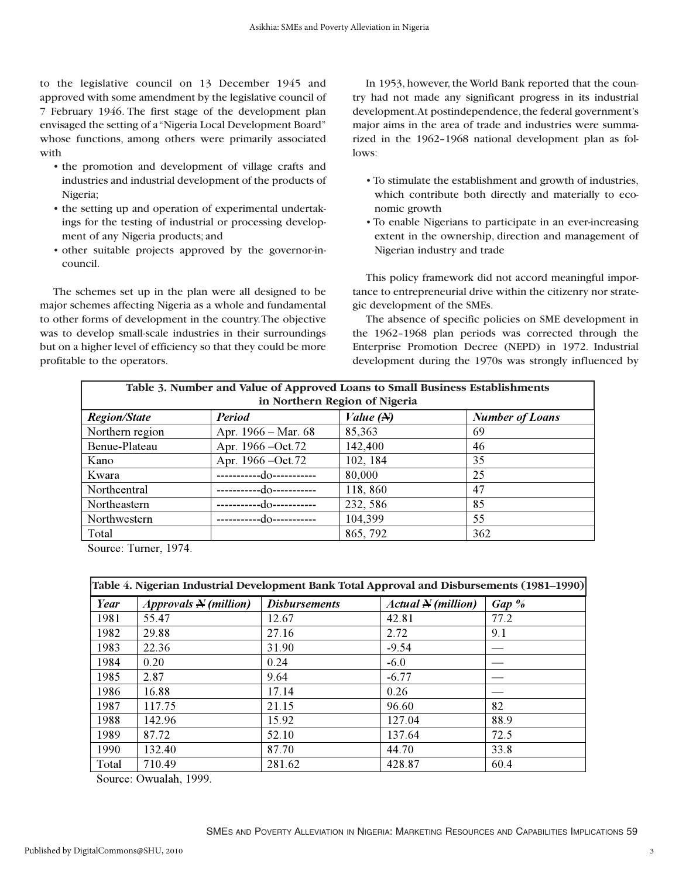to the legislative council on 13 December 1945 and approved with some amendment by the legislative council of 7 February 1946. The first stage of the development plan envisaged the setting of a "Nigeria Local Development Board" whose functions, among others were primarily associated with

- the promotion and development of village crafts and industries and industrial development of the products of Nigeria;
- the setting up and operation of experimental undertakings for the testing of industrial or processing development of any Nigeria products; and
- other suitable projects approved by the governor-incouncil.

The schemes set up in the plan were all designed to be major schemes affecting Nigeria as a whole and fundamental to other forms of development in the country.The objective was to develop small-scale industries in their surroundings but on a higher level of efficiency so that they could be more profitable to the operators.

In 1953, however, the World Bank reported that the country had not made any significant progress in its industrial development.At postindependence, the federal government's major aims in the area of trade and industries were summarized in the 1962–1968 national development plan as follows:

- To stimulate the establishment and growth of industries, which contribute both directly and materially to economic growth
- To enable Nigerians to participate in an ever-increasing extent in the ownership, direction and management of Nigerian industry and trade

This policy framework did not accord meaningful importance to entrepreneurial drive within the citizenry nor strategic development of the SMEs.

The absence of specific policies on SME development in the 1962–1968 plan periods was corrected through the Enterprise Promotion Decree (NEPD) in 1972. Industrial development during the 1970s was strongly influenced by

| Table 3. Number and Value of Approved Loans to Small Business Establishments |                               |                               |     |  |  |  |  |  |  |
|------------------------------------------------------------------------------|-------------------------------|-------------------------------|-----|--|--|--|--|--|--|
|                                                                              |                               | in Northern Region of Nigeria |     |  |  |  |  |  |  |
| <b>Region/State</b><br>Period<br><i>Value</i> (A)<br><b>Number of Loans</b>  |                               |                               |     |  |  |  |  |  |  |
| Northern region                                                              | Apr. $1966 - \text{Mar. } 68$ | 85,363                        | 69  |  |  |  |  |  |  |
| Benue-Plateau                                                                | Apr. 1966 – Oct. 72           | 142,400                       | 46  |  |  |  |  |  |  |
| Kano                                                                         | Apr. 1966 – Oct. 72           | 102, 184                      | 35  |  |  |  |  |  |  |
| Kwara                                                                        | -do-----------                | 80,000                        | 25  |  |  |  |  |  |  |
| Northcentral                                                                 | $-do-$                        | 118,860                       | 47  |  |  |  |  |  |  |
| Northeastern                                                                 | -do--                         | 232, 586                      | 85  |  |  |  |  |  |  |
| Northwestern                                                                 | --do-                         | 104,399                       | 55  |  |  |  |  |  |  |
| Total                                                                        |                               | 865, 792                      | 362 |  |  |  |  |  |  |

Source: Turner, 1974.

|       | Table 4. Nigerian Industrial Development Bank Total Approval and Disbursements (1981–1990) |                      |                           |          |  |  |  |  |
|-------|--------------------------------------------------------------------------------------------|----------------------|---------------------------|----------|--|--|--|--|
| Year  | $Approxals$ $A$ (million)                                                                  | <b>Disbursements</b> | $Actual \times (million)$ | Gap $\%$ |  |  |  |  |
| 1981  | 55.47                                                                                      | 12.67                | 42.81                     | 77.2     |  |  |  |  |
| 1982  | 29.88                                                                                      | 27.16                | 2.72                      | 9.1      |  |  |  |  |
| 1983  | 22.36                                                                                      | 31.90                | $-9.54$                   |          |  |  |  |  |
| 1984  | 0.20                                                                                       | 0.24                 | $-6.0$                    |          |  |  |  |  |
| 1985  | 2.87                                                                                       | 9.64                 | $-6.77$                   |          |  |  |  |  |
| 1986  | 16.88                                                                                      | 17.14                | 0.26                      |          |  |  |  |  |
| 1987  | 117.75                                                                                     | 21.15                | 96.60                     | 82       |  |  |  |  |
| 1988  | 142.96                                                                                     | 15.92                | 127.04                    | 88.9     |  |  |  |  |
| 1989  | 87.72                                                                                      | 52.10                | 137.64                    | 72.5     |  |  |  |  |
| 1990  | 132.40                                                                                     | 87.70                | 44.70                     | 33.8     |  |  |  |  |
| Total | 710.49                                                                                     | 281.62               | 428.87                    | 60.4     |  |  |  |  |

Source: Owualah, 1999.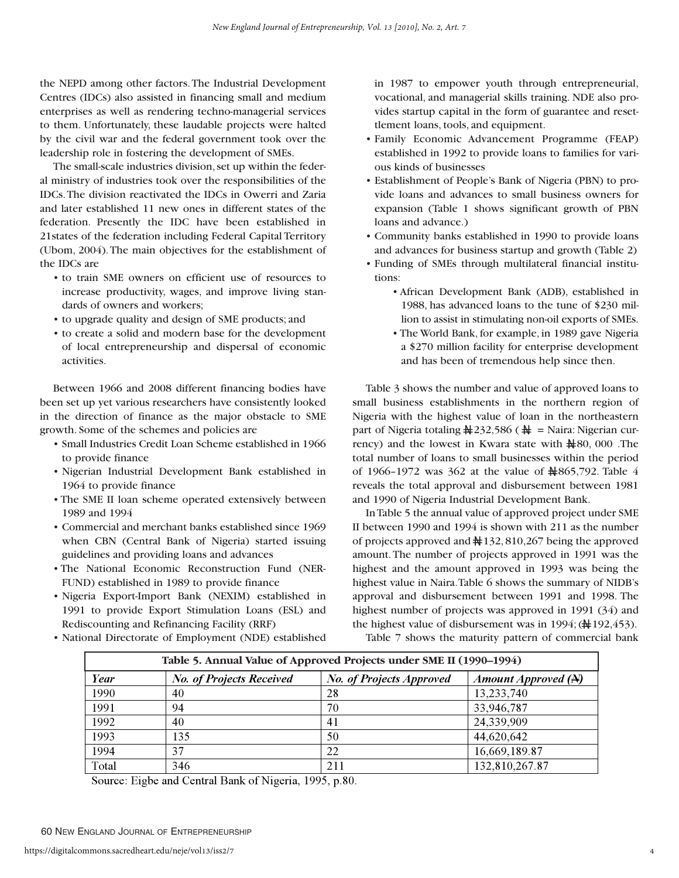the NEPD among other factors.The Industrial Development Centres (IDCs) also assisted in financing small and medium enterprises as well as rendering techno-managerial services to them. Unfortunately, these laudable projects were halted by the civil war and the federal government took over the leadership role in fostering the development of SMEs.

The small-scale industries division, set up within the federal ministry of industries took over the responsibilities of the IDCs.The division reactivated the IDCs in Owerri and Zaria and later established 11 new ones in different states of the federation. Presently the IDC have been established in 21states of the federation including Federal Capital Territory (Ubom, 2004).The main objectives for the establishment of the IDCs are

- to train SME owners on efficient use of resources to increase productivity, wages, and improve living standards of owners and workers;
- to upgrade quality and design of SME products; and
- to create a solid and modern base for the development of local entrepreneurship and dispersal of economic activities.

Between 1966 and 2008 different financing bodies have been set up yet various researchers have consistently looked in the direction of finance as the major obstacle to SME growth. Some of the schemes and policies are

- Small Industries Credit Loan Scheme established in 1966 to provide finance
- Nigerian Industrial Development Bank established in 1964 to provide finance
- The SME II loan scheme operated extensively between 1989 and 1994
- Commercial and merchant banks established since 1969 when CBN (Central Bank of Nigeria) started issuing guidelines and providing loans and advances
- The National Economic Reconstruction Fund (NER-FUND) established in 1989 to provide finance
- Nigeria Export-Import Bank (NEXIM) established in 1991 to provide Export Stimulation Loans (ESL) and Rediscounting and Refinancing Facility (RRF)
- National Directorate of Employment (NDE) established

in 1987 to empower youth through entrepreneurial, vocational, and managerial skills training. NDE also provides startup capital in the form of guarantee and resettlement loans, tools, and equipment.

- Family Economic Advancement Programme (FEAP) established in 1992 to provide loans to families for various kinds of businesses
- Establishment of People's Bank of Nigeria (PBN) to provide loans and advances to small business owners for expansion (Table 1 shows significant growth of PBN loans and advance.)
- Community banks established in 1990 to provide loans and advances for business startup and growth (Table 2)
- Funding of SMEs through multilateral financial institutions:
	- African Development Bank (ADB), established in 1988, has advanced loans to the tune of \$230 million to assist in stimulating non-oil exports of SMEs.
	- The World Bank, for example, in 1989 gave Nigeria a \$270 million facility for enterprise development and has been of tremendous help since then.

Table 3 shows the number and value of approved loans to small business establishments in the northern region of Nigeria with the highest value of loan in the northeastern part of Nigeria totaling  $\#232,586$  ( $\#$  = Naira: Nigerian currency) and the lowest in Kwara state with  $\#80$ , 000 .The total number of loans to small businesses within the period of 1966–1972 was  $362$  at the value of  $\text{#865,792}$ . Table 4 reveals the total approval and disbursement between 1981 and 1990 of Nigeria Industrial Development Bank.

In Table 5 the annual value of approved project under SME II between 1990 and 1994 is shown with 211 as the number of projects approved and  $\frac{1132}{132,810,267}$  being the approved amount.The number of projects approved in 1991 was the highest and the amount approved in 1993 was being the highest value in Naira.Table 6 shows the summary of NIDB's approval and disbursement between 1991 and 1998. The highest number of projects was approved in 1991 (34) and the highest value of disbursement was in 1994;  $(\frac{4192}{,}453)$ .

Table 7 shows the maturity pattern of commercial bank

| Table 5. Annual Value of Approved Projects under SME II (1990-1994)                               |     |     |                |  |  |  |  |
|---------------------------------------------------------------------------------------------------|-----|-----|----------------|--|--|--|--|
| Year<br>No. of Projects Received<br><b>No. of Projects Approved</b><br><b>Amount Approved (N)</b> |     |     |                |  |  |  |  |
| 1990                                                                                              | 40  | 28  | 13,233,740     |  |  |  |  |
| 1991                                                                                              | 94  | 70  | 33,946,787     |  |  |  |  |
| 1992                                                                                              | 40  | 41  | 24,339,909     |  |  |  |  |
| 1993                                                                                              | 135 | 50  | 44,620,642     |  |  |  |  |
| 1994                                                                                              | 37  | 22  | 16,669,189.87  |  |  |  |  |
| Total                                                                                             | 346 | 211 | 132,810,267.87 |  |  |  |  |

Source: Eigbe and Central Bank of Nigeria, 1995, p.80.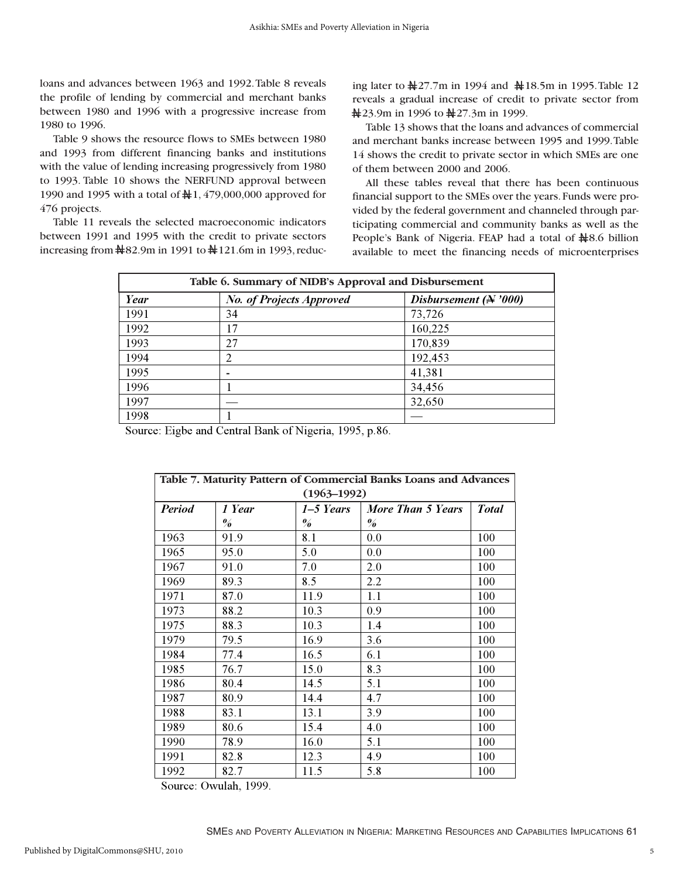loans and advances between 1963 and 1992.Table 8 reveals the profile of lending by commercial and merchant banks between 1980 and 1996 with a progressive increase from 1980 to 1996.

Table 9 shows the resource flows to SMEs between 1980 and 1993 from different financing banks and institutions with the value of lending increasing progressively from 1980 to 1993. Table 10 shows the NERFUND approval between 1990 and 1995 with a total of  $\#1, 479,000,000$  approved for 476 projects.

Table 11 reveals the selected macroeconomic indicators between 1991 and 1995 with the credit to private sectors increasing from  $\#82.9$ m in 1991 to $\#121.6$ m in 1993, reduc-

ing later to  $\text{#27.7m}$  in 1994 and  $\text{#18.5m}$  in 1995. Table 12 reveals a gradual increase of credit to private sector from  $\#23.9$ m in 1996 to $\#27.3$ m in 1999.

Table 13 shows that the loans and advances of commercial and merchant banks increase between 1995 and 1999.Table 14 shows the credit to private sector in which SMEs are one of them between 2000 and 2006.

All these tables reveal that there has been continuous financial support to the SMEs over the years.Funds were provided by the federal government and channeled through participating commercial and community banks as well as the People's Bank of Nigeria. FEAP had a total of  $\#8.6$  billion available to meet the financing needs of microenterprises

| Table 6. Summary of NIDB's Approval and Disbursement |                          |                          |  |  |  |  |  |
|------------------------------------------------------|--------------------------|--------------------------|--|--|--|--|--|
| Year                                                 | No. of Projects Approved | Disbursement $(A'$ '000) |  |  |  |  |  |
| 1991                                                 | 34                       | 73,726                   |  |  |  |  |  |
| 1992                                                 | 17                       | 160,225                  |  |  |  |  |  |
| 1993                                                 | 27                       | 170,839                  |  |  |  |  |  |
| 1994                                                 | $\mathfrak{D}$           | 192,453                  |  |  |  |  |  |
| 1995                                                 |                          | 41,381                   |  |  |  |  |  |
| 1996                                                 |                          | 34,456                   |  |  |  |  |  |
| 1997                                                 |                          | 32,650                   |  |  |  |  |  |
| 1998                                                 |                          |                          |  |  |  |  |  |

Source: Eigbe and Central Bank of Nigeria, 1995, p.86.

| Table 7. Maturity Pattern of Commercial Banks Loans and Advances |                |                |                   |              |  |  |  |
|------------------------------------------------------------------|----------------|----------------|-------------------|--------------|--|--|--|
| $(1963 - 1992)$                                                  |                |                |                   |              |  |  |  |
| Period                                                           | 1 Year         | 1–5 Years      | More Than 5 Years | <b>Total</b> |  |  |  |
|                                                                  | $\frac{6}{10}$ | $\frac{6}{10}$ | $\%$              |              |  |  |  |
| 1963                                                             | 91.9           | 8.1            | 0.0               | 100          |  |  |  |
| 1965                                                             | 95.0           | 5.0            | 0.0               | 100          |  |  |  |
| 1967                                                             | 91.0           | 7.0            | 2.0               | 100          |  |  |  |
| 1969                                                             | 89.3           | 8.5            | 2.2               | 100          |  |  |  |
| 1971                                                             | 87.0           | 11.9           | 1.1               | 100          |  |  |  |
| 1973                                                             | 88.2           | 10.3           | 0.9               | 100          |  |  |  |
| 1975                                                             | 88.3           | 10.3           | 1.4               | 100          |  |  |  |
| 1979                                                             | 79.5           | 16.9           | 3.6               | 100          |  |  |  |
| 1984                                                             | 77.4           | 16.5           | 6.1               | 100          |  |  |  |
| 1985                                                             | 76.7           | 15.0           | 8.3               | 100          |  |  |  |
| 1986                                                             | 80.4           | 14.5           | 5.1               | 100          |  |  |  |
| 1987                                                             | 80.9           | 14.4           | 4.7               | 100          |  |  |  |
| 1988                                                             | 83.1           | 13.1           | 3.9               | 100          |  |  |  |
| 1989                                                             | 80.6           | 15.4           | 4.0               | 100          |  |  |  |
| 1990                                                             | 78.9           | 16.0           | 5.1               | 100          |  |  |  |
| 1991                                                             | 82.8           | 12.3           | 4.9               | 100          |  |  |  |
| 1992                                                             | 82.7           | 11.5           | 5.8               | 100          |  |  |  |

Source: Owulah, 1999.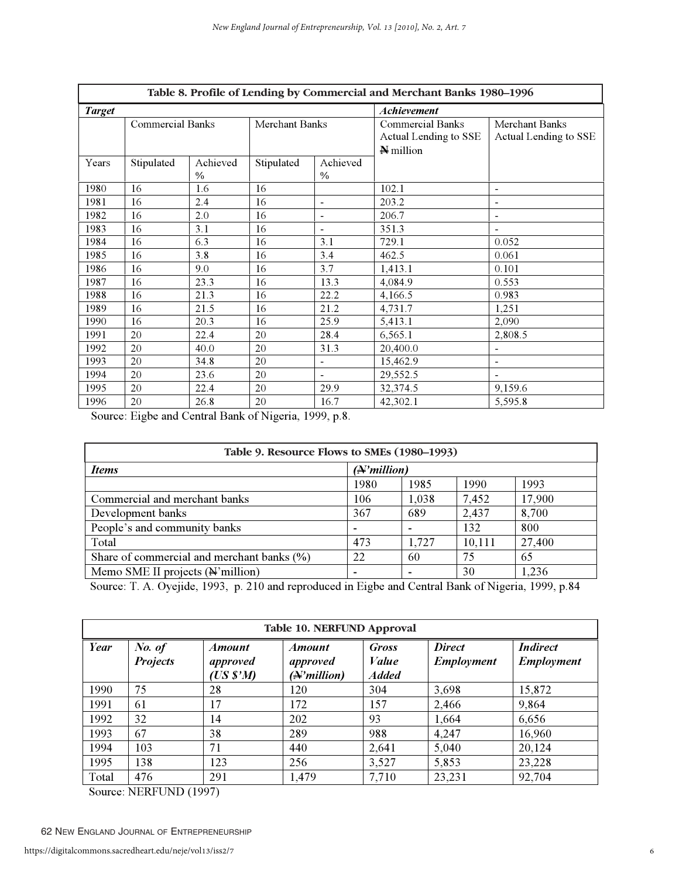|                         | Table 8. Profile of Lending by Commercial and Merchant Banks 1980–1996 |                           |                |                           |                                                               |                                         |  |  |
|-------------------------|------------------------------------------------------------------------|---------------------------|----------------|---------------------------|---------------------------------------------------------------|-----------------------------------------|--|--|
| <b>Target</b>           |                                                                        |                           |                |                           | <b>Achievement</b>                                            |                                         |  |  |
| <b>Commercial Banks</b> |                                                                        |                           | Merchant Banks |                           | <b>Commercial Banks</b><br>Actual Lending to SSE<br>N million | Merchant Banks<br>Actual Lending to SSE |  |  |
| Years                   | Stipulated                                                             | Achieved<br>$\frac{0}{0}$ | Stipulated     | Achieved<br>$\frac{0}{0}$ |                                                               |                                         |  |  |
| 1980                    | 16                                                                     | 1.6                       | 16             |                           | 102.1                                                         | $\blacksquare$                          |  |  |
| 1981                    | 16                                                                     | 2.4                       | 16             | $\blacksquare$            | 203.2                                                         | $\blacksquare$                          |  |  |
| 1982                    | 16                                                                     | 2.0                       | 16             | $\blacksquare$            | 206.7                                                         | $\blacksquare$                          |  |  |
| 1983                    | 16                                                                     | 3.1                       | 16             |                           | 351.3                                                         |                                         |  |  |
| 1984                    | 16                                                                     | 6.3                       | 16             | 3.1                       | 729.1                                                         | 0.052                                   |  |  |
| 1985                    | 16                                                                     | 3.8                       | 16             | 3.4                       | 462.5                                                         | 0.061                                   |  |  |
| 1986                    | 16                                                                     | 9.0                       | 16             | 3.7                       | 1,413.1                                                       | 0.101                                   |  |  |
| 1987                    | 16                                                                     | 23.3                      | 16             | 13.3                      | 4,084.9                                                       | 0.553                                   |  |  |
| 1988                    | 16                                                                     | 21.3                      | 16             | 22.2                      | 4,166.5                                                       | 0.983                                   |  |  |
| 1989                    | 16                                                                     | 21.5                      | 16             | 21.2                      | 4,731.7                                                       | 1,251                                   |  |  |
| 1990                    | 16                                                                     | 20.3                      | 16             | 25.9                      | 5,413.1                                                       | 2.090                                   |  |  |
| 1991                    | 20                                                                     | 22.4                      | 20             | 28.4                      | 6,565.1                                                       | 2,808.5                                 |  |  |
| 1992                    | 20                                                                     | 40.0                      | 20             | 31.3                      | 20,400.0                                                      |                                         |  |  |
| 1993                    | 20                                                                     | 34.8                      | 20             | $\blacksquare$            | 15,462.9                                                      | ۰                                       |  |  |
| 1994                    | 20                                                                     | 23.6                      | 20             | $\blacksquare$            | 29,552.5                                                      |                                         |  |  |
| 1995                    | 20                                                                     | 22.4                      | 20             | 29.9                      | 32,374.5                                                      | 9,159.6                                 |  |  |
| 1996                    | 20                                                                     | 26.8                      | 20             | 16.7                      | 42,302.1                                                      | 5,595.8                                 |  |  |

Source: Eigbe and Central Bank of Nigeria, 1999, p.8.

| Table 9. Resource Flows to SMEs (1980–1993)                                                    |      |                          |        |        |  |  |  |
|------------------------------------------------------------------------------------------------|------|--------------------------|--------|--------|--|--|--|
| <i>Items</i>                                                                                   |      | (A <sup>'</sup> million) |        |        |  |  |  |
|                                                                                                | 1980 | 1985                     | 1990   | 1993   |  |  |  |
| Commercial and merchant banks                                                                  | 106  | 1,038                    | 7,452  | 17,900 |  |  |  |
| Development banks                                                                              | 367  | 689                      | 2,437  | 8,700  |  |  |  |
| People's and community banks                                                                   |      |                          | 132    | 800    |  |  |  |
| Total                                                                                          | 473  | 1,727                    | 10,111 | 27,400 |  |  |  |
| Share of commercial and merchant banks (%)                                                     | 22   | 60                       | 75     | 65     |  |  |  |
| Memo SME II projects (N'million)<br>1,236<br>30<br>-                                           |      |                          |        |        |  |  |  |
| Source: $T_A$ Overida 1003 n 210 and reproduced in Fighe and Central Bank of Nigeria 1000 n 84 |      |                          |        |        |  |  |  |

Source: T. A. Oyejide, 1993, p. 210 and reproduced in Eigbe and Central Bank of Nigeria, 1999, p.84

|       | Table 10. NERFUND Approval |                                               |                                                 |                                              |                                    |                                      |  |  |
|-------|----------------------------|-----------------------------------------------|-------------------------------------------------|----------------------------------------------|------------------------------------|--------------------------------------|--|--|
| Year  | No. of<br><b>Projects</b>  | <i><b>Amount</b></i><br>approved<br>(US \$'M) | <i><b>Amount</b></i><br>approved<br>(A'million) | <b>Gross</b><br><i>Value</i><br><b>Added</b> | <b>Direct</b><br><b>Employment</b> | <i>Indirect</i><br><b>Employment</b> |  |  |
| 1990  | 75                         | 28                                            | 120                                             | 304                                          | 3,698                              | 15,872                               |  |  |
| 1991  | 61                         | 17                                            | 172                                             | 157                                          | 2,466                              | 9,864                                |  |  |
| 1992  | 32                         | 14                                            | 202                                             | 93                                           | 1,664                              | 6,656                                |  |  |
| 1993  | 67                         | 38                                            | 289                                             | 988                                          | 4,247                              | 16,960                               |  |  |
| 1994  | 103                        | 71                                            | 440                                             | 2,641                                        | 5,040                              | 20,124                               |  |  |
| 1995  | 138                        | 123                                           | 256                                             | 3,527                                        | 5,853                              | 23,228                               |  |  |
| Total | 476                        | 291                                           | 1,479                                           | 7,710                                        | 23,231                             | 92,704                               |  |  |

Source: NERFUND (1997)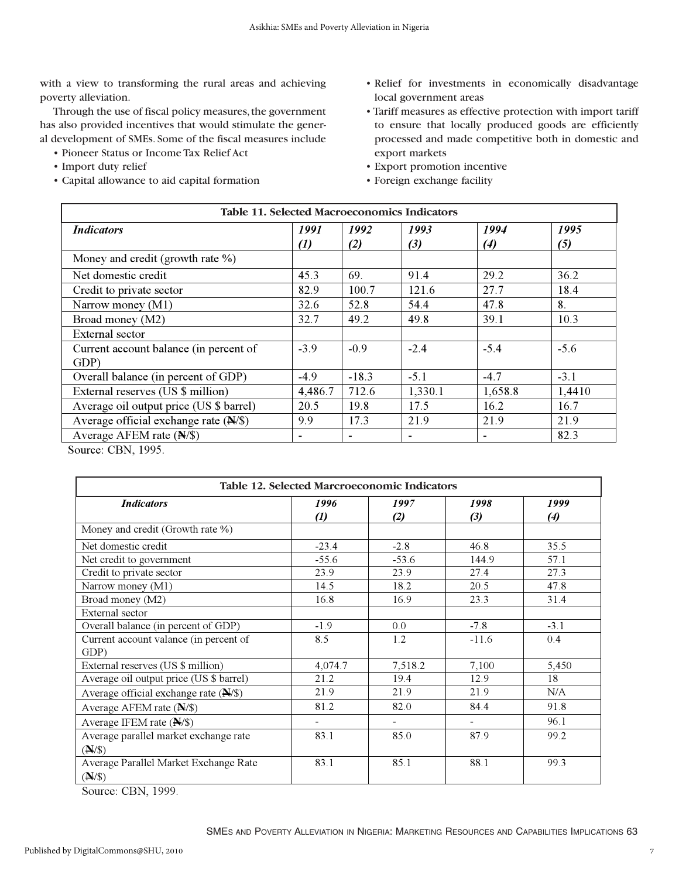with a view to transforming the rural areas and achieving poverty alleviation.

Through the use of fiscal policy measures, the government has also provided incentives that would stimulate the general development of SMEs. Some of the fiscal measures include

- Pioneer Status or Income Tax Relief Act
- Import duty relief
- Capital allowance to aid capital formation
- Relief for investments in economically disadvantage local government areas
- Tariff measures as effective protection with import tariff to ensure that locally produced goods are efficiently processed and made competitive both in domestic and export markets
- Export promotion incentive
- Foreign exchange facility

| <b>Table 11. Selected Macroeconomics Indicators</b>                          |             |             |             |                             |             |  |  |
|------------------------------------------------------------------------------|-------------|-------------|-------------|-----------------------------|-------------|--|--|
| <i>Indicators</i>                                                            | 1991<br>(1) | 1992<br>(2) | 1993<br>(3) | 1994<br>$\boldsymbol{r}(4)$ | 1995<br>(5) |  |  |
| Money and credit (growth rate %)                                             |             |             |             |                             |             |  |  |
| Net domestic credit                                                          | 45.3        | 69.         | 91.4        | 29.2                        | 36.2        |  |  |
| Credit to private sector                                                     | 82.9        | 100.7       | 121.6       | 27.7                        | 18.4        |  |  |
| Narrow money (M1)                                                            | 32.6        | 52.8        | 54.4        | 47.8                        | 8.          |  |  |
| Broad money (M2)                                                             | 32.7        | 49.2        | 49.8        | 39.1                        | 10.3        |  |  |
| External sector                                                              |             |             |             |                             |             |  |  |
| Current account balance (in percent of<br>GDP)                               | $-3.9$      | $-0.9$      | $-2.4$      | $-5.4$                      | $-5.6$      |  |  |
| Overall balance (in percent of GDP)                                          | $-4.9$      | $-18.3$     | $-5.1$      | $-4.7$                      | $-3.1$      |  |  |
| External reserves (US \$ million)                                            | 4,486.7     | 712.6       | 1,330.1     | 1,658.8                     | 1,4410      |  |  |
| Average oil output price (US \$ barrel)                                      | 20.5        | 19.8        | 17.5        | 16.2                        | 16.7        |  |  |
| Average official exchange rate $(N/\$)$                                      | 9.9         | 17.3        | 21.9        | 21.9                        | 21.9        |  |  |
| Average AFEM rate (N/\$)<br>$\sim$ $\sim$ $\sim$ $\sim$ $\sim$ $\sim$ $\sim$ |             |             |             |                             | 82.3        |  |  |

Source: CBN, 1995.

| <b>Table 12. Selected Marcroeconomic Indicators</b>                |                           |                |               |                          |  |  |  |
|--------------------------------------------------------------------|---------------------------|----------------|---------------|--------------------------|--|--|--|
| <b>Indicators</b>                                                  | 1996<br>$\left( l\right)$ | 1997<br>(2)    | 1998<br>$(3)$ | 1999<br>$\left(4\right)$ |  |  |  |
| Money and credit (Growth rate %)                                   |                           |                |               |                          |  |  |  |
| Net domestic credit                                                | $-23.4$                   | $-2.8$         | 46.8          | 35.5                     |  |  |  |
| Net credit to government                                           | $-55.6$                   | $-53.6$        | 144.9         | 57.1                     |  |  |  |
| Credit to private sector                                           | 23.9                      | 23.9           | 27.4          | 27.3                     |  |  |  |
| Narrow money (M1)                                                  | 14.5                      | 18.2           | 20.5          | 47.8                     |  |  |  |
| Broad money (M2)                                                   | 16.8                      | 16.9           | 23.3          | 31.4                     |  |  |  |
| External sector                                                    |                           |                |               |                          |  |  |  |
| Overall balance (in percent of GDP)                                | $-1.9$                    | 0.0            | $-7.8$        | $-3.1$                   |  |  |  |
| Current account valance (in percent of                             | 8.5                       | 1.2            | $-11.6$       | 0.4                      |  |  |  |
| GDP)                                                               |                           |                |               |                          |  |  |  |
| External reserves (US \$ million)                                  | 4,074.7                   | 7,518.2        | 7,100         | 5,450                    |  |  |  |
| Average oil output price (US \$ barrel)                            | 21.2                      | 19.4           | 12.9          | 18                       |  |  |  |
| Average official exchange rate $(\mathbf{N}/\mathbf{\$})$          | 21.9                      | 21.9           | 21.9          | N/A                      |  |  |  |
| Average AFEM rate $(\mathbf{N}/\mathbf{\$})$                       | 81.2                      | 82.0           | 84.4          | 91.8                     |  |  |  |
| Average IFEM rate $(\mathbb{N}/\mathbb{S})$                        | $\overline{\phantom{a}}$  | $\blacksquare$ | -             | 96.1                     |  |  |  |
| Average parallel market exchange rate<br>(N/S)                     | 83.1                      | 85.0           | 87.9          | 99.2                     |  |  |  |
| Average Parallel Market Exchange Rate<br>$(\mathbb{N}/\mathbb{S})$ | 83.1                      | 85.1           | 88.1          | 99.3                     |  |  |  |

Source: CBN, 1999.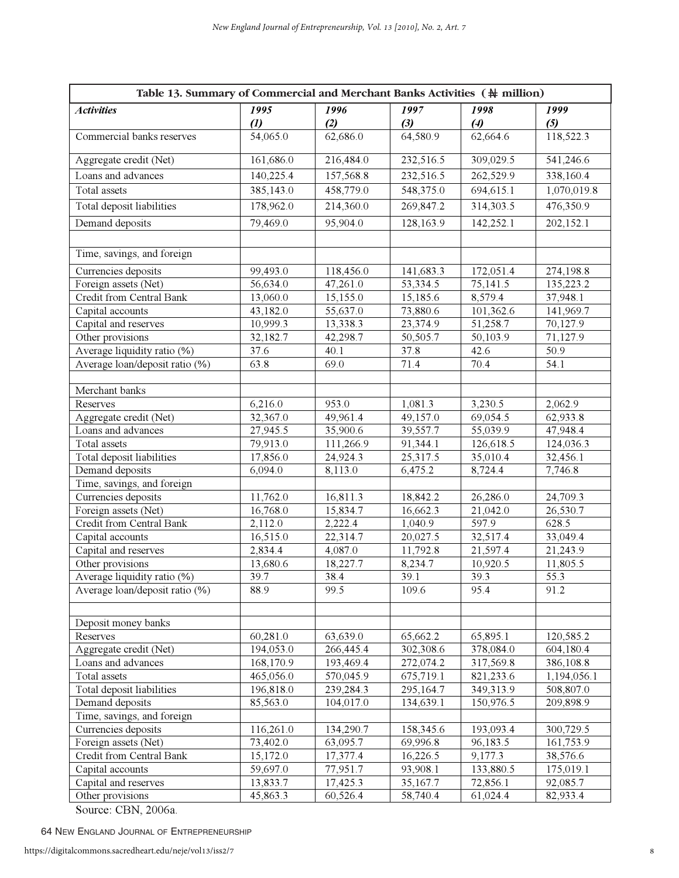| Table 13. Summary of Commercial and Merchant Banks Activities (# million) |                      |                      |                      |                      |                      |  |  |  |  |  |
|---------------------------------------------------------------------------|----------------------|----------------------|----------------------|----------------------|----------------------|--|--|--|--|--|
| <b>Activities</b>                                                         | 1995                 | 1996                 | 1997                 | 1998                 | 1999                 |  |  |  |  |  |
|                                                                           | $\left( l\right)$    | (2)                  | $(3)$                | (4)                  | (5)                  |  |  |  |  |  |
| Commercial banks reserves                                                 | 54,065.0             | 62,686.0             | 64,580.9             | 62,664.6             | 118,522.3            |  |  |  |  |  |
| Aggregate credit (Net)                                                    | 161,686.0            | 216,484.0            | 232,516.5            | 309,029.5            | 541,246.6            |  |  |  |  |  |
| Loans and advances                                                        | 140,225.4            | 157,568.8            | 232,516.5            | 262,529.9            | 338,160.4            |  |  |  |  |  |
| Total assets                                                              | 385,143.0            | 458,779.0            | 548,375.0            | 694,615.1            | 1,070,019.8          |  |  |  |  |  |
| Total deposit liabilities                                                 | 178,962.0            | 214,360.0            | 269,847.2            | 314,303.5            | 476,350.9            |  |  |  |  |  |
| Demand deposits                                                           | 79,469.0             | 95,904.0             | 128,163.9            | 142,252.1            | 202,152.1            |  |  |  |  |  |
| Time, savings, and foreign                                                |                      |                      |                      |                      |                      |  |  |  |  |  |
|                                                                           |                      |                      |                      |                      |                      |  |  |  |  |  |
| Currencies deposits                                                       | 99,493.0             | 118,456.0            | 141,683.3            | 172,051.4            | 274,198.8            |  |  |  |  |  |
| Foreign assets (Net)                                                      | 56,634.0             | 47,261.0             | 53,334.5             | 75,141.5             | 135,223.2            |  |  |  |  |  |
| Credit from Central Bank                                                  | 13,060.0             | 15,155.0             | 15,185.6             | 8,579.4              | 37,948.1             |  |  |  |  |  |
| Capital accounts                                                          | 43,182.0             | 55,637.0             | 73,880.6             | 101,362.6            | 141,969.7            |  |  |  |  |  |
| Capital and reserves<br>Other provisions                                  | 10,999.3<br>32,182.7 | 13,338.3<br>42,298.7 | 23,374.9<br>50,505.7 | 51,258.7<br>50,103.9 | 70,127.9<br>71,127.9 |  |  |  |  |  |
| Average liquidity ratio (%)                                               | 37.6                 | 40.1                 | 37.8                 | 42.6                 | 50.9                 |  |  |  |  |  |
| Average loan/deposit ratio (%)                                            | 63.8                 | 69.0                 | 71.4                 | 70.4                 | 54.1                 |  |  |  |  |  |
|                                                                           |                      |                      |                      |                      |                      |  |  |  |  |  |
| Merchant banks                                                            |                      |                      |                      |                      |                      |  |  |  |  |  |
| Reserves                                                                  | 6,216.0              | 953.0                | 1,081.3              | 3,230.5              | 2,062.9              |  |  |  |  |  |
| Aggregate credit (Net)                                                    | 32,367.0             | 49,961.4             | 49,157.0             | 69,054.5             | 62,933.8             |  |  |  |  |  |
| Loans and advances                                                        | 27,945.5             | 35,900.6             | 39,557.7             | 55,039.9             | 47,948.4             |  |  |  |  |  |
| Total assets                                                              | 79,913.0             | 111,266.9            | 91,344.1             | 126,618.5            | 124,036.3            |  |  |  |  |  |
| Total deposit liabilities                                                 | 17,856.0             | 24,924.3             | 25,317.5             | 35,010.4             | 32,456.1             |  |  |  |  |  |
| Demand deposits                                                           | 6,094.0              | 8,113.0              | 6,475.2              | 8,724.4              | 7,746.8              |  |  |  |  |  |
| Time, savings, and foreign                                                |                      |                      |                      |                      |                      |  |  |  |  |  |
| Currencies deposits                                                       | 11,762.0             | 16,811.3             | 18,842.2             | 26,286.0             | 24,709.3             |  |  |  |  |  |
| Foreign assets (Net)                                                      | 16,768.0             | 15,834.7             | 16,662.3             | 21,042.0             | 26,530.7             |  |  |  |  |  |
| Credit from Central Bank                                                  | 2,112.0              | 2,222.4              | 1,040.9              | 597.9                | 628.5                |  |  |  |  |  |
| Capital accounts                                                          | 16,515.0             | 22,314.7             | 20,027.5             | 32,517.4             | 33,049.4             |  |  |  |  |  |
| Capital and reserves                                                      | 2,834.4              | 4,087.0              | 11,792.8             | 21,597.4             | 21,243.9             |  |  |  |  |  |
| Other provisions                                                          | 13,680.6             | 18,227.7             | 8,234.7              | 10,920.5             | 11,805.5             |  |  |  |  |  |
| Average liquidity ratio (%)                                               | 39.7                 | 38.4                 | 39.1                 | 39.3                 | 55.3                 |  |  |  |  |  |
| Average loan/deposit ratio (%)                                            | 88.9                 | 99.5                 | 109.6                | 95.4                 | 91.2                 |  |  |  |  |  |
| Deposit money banks                                                       |                      |                      |                      |                      |                      |  |  |  |  |  |
| Reserves                                                                  | 60,281.0             | 63,639.0             | 65,662.2             | 65,895.1             | 120,585.2            |  |  |  |  |  |
| Aggregate credit (Net)                                                    | 194,053.0            | 266,445.4            | 302,308.6            | 378,084.0            | 604,180.4            |  |  |  |  |  |
| Loans and advances                                                        | 168,170.9            | 193,469.4            | 272,074.2            | 317,569.8            | 386,108.8            |  |  |  |  |  |
| Total assets                                                              | 465,056.0            | 570,045.9            | 675,719.1            | 821,233.6            | 1,194,056.1          |  |  |  |  |  |
| Total deposit liabilities                                                 | 196,818.0            | 239,284.3            | 295,164.7            | 349,313.9            | 508,807.0            |  |  |  |  |  |
| Demand deposits                                                           | 85,563.0             | 104,017.0            | 134,639.1            | 150,976.5            | 209,898.9            |  |  |  |  |  |
| Time, savings, and foreign                                                |                      |                      |                      |                      |                      |  |  |  |  |  |
| Currencies deposits                                                       | 116,261.0            | 134,290.7            | 158,345.6            | 193,093.4            | 300,729.5            |  |  |  |  |  |
| Foreign assets (Net)                                                      | 73,402.0             | 63,095.7             | 69,996.8             | 96,183.5             | 161,753.9            |  |  |  |  |  |
| Credit from Central Bank                                                  | 15,172.0             | 17,377.4             | 16,226.5             | 9,177.3              | 38,576.6             |  |  |  |  |  |
| Capital accounts                                                          | 59,697.0             | 77,951.7             | 93,908.1             | 133,880.5            | 175,019.1            |  |  |  |  |  |
| Capital and reserves                                                      | 13,833.7             | 17,425.3             | 35,167.7             | 72,856.1             | 92,085.7             |  |  |  |  |  |
| Other provisions                                                          | 45,863.3             | 60,526.4             | 58,740.4             | 61,024.4             | 82,933.4             |  |  |  |  |  |

Source: CBN, 2006a.

64 NEW ENGLAND JOURNAL OF ENTREPRENEURSHIP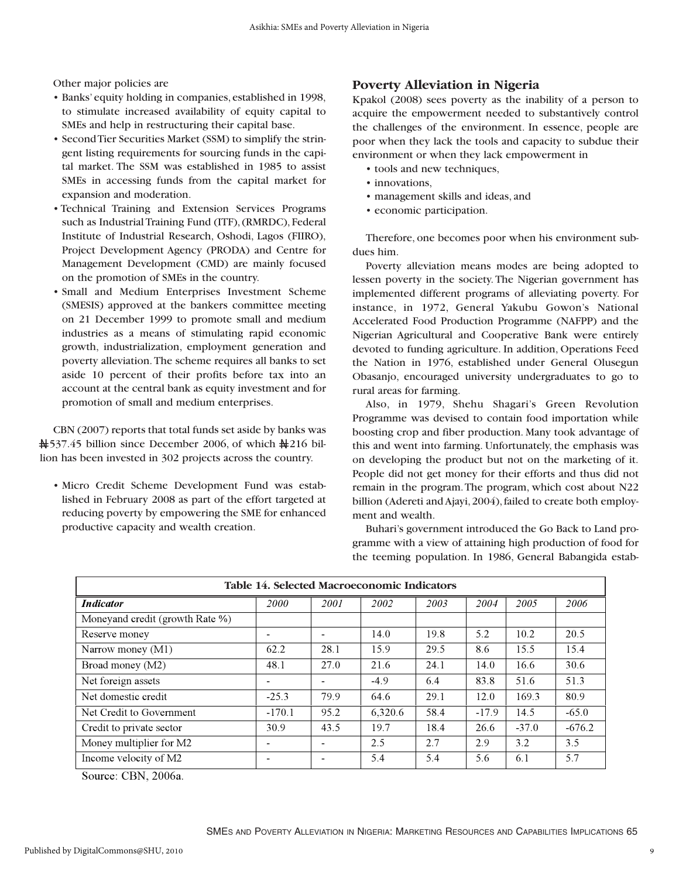Other major policies are

- Banks' equity holding in companies, established in 1998, to stimulate increased availability of equity capital to SMEs and help in restructuring their capital base.
- Second Tier Securities Market (SSM) to simplify the stringent listing requirements for sourcing funds in the capital market. The SSM was established in 1985 to assist SMEs in accessing funds from the capital market for expansion and moderation.
- Technical Training and Extension Services Programs such as Industrial Training Fund (ITF), (RMRDC), Federal Institute of Industrial Research, Oshodi, Lagos (FIIRO), Project Development Agency (PRODA) and Centre for Management Development (CMD) are mainly focused on the promotion of SMEs in the country.
- Small and Medium Enterprises Investment Scheme (SMESIS) approved at the bankers committee meeting on 21 December 1999 to promote small and medium industries as a means of stimulating rapid economic growth, industrialization, employment generation and poverty alleviation. The scheme requires all banks to set aside 10 percent of their profits before tax into an account at the central bank as equity investment and for promotion of small and medium enterprises.

CBN (2007) reports that total funds set aside by banks was  $\#537.45$  billion since December 2006, of which  $\#216$  billion has been invested in 302 projects across the country.

• Micro Credit Scheme Development Fund was established in February 2008 as part of the effort targeted at reducing poverty by empowering the SME for enhanced productive capacity and wealth creation.

#### **Poverty Alleviation in Nigeria**

Kpakol (2008) sees poverty as the inability of a person to acquire the empowerment needed to substantively control the challenges of the environment. In essence, people are poor when they lack the tools and capacity to subdue their environment or when they lack empowerment in

- tools and new techniques,
- innovations,
- management skills and ideas, and
- economic participation.

Therefore, one becomes poor when his environment subdues him.

Poverty alleviation means modes are being adopted to lessen poverty in the society. The Nigerian government has implemented different programs of alleviating poverty. For instance, in 1972, General Yakubu Gowon's National Accelerated Food Production Programme (NAFPP) and the Nigerian Agricultural and Cooperative Bank were entirely devoted to funding agriculture. In addition, Operations Feed the Nation in 1976, established under General Olusegun Obasanjo, encouraged university undergraduates to go to rural areas for farming.

Also, in 1979, Shehu Shagari's Green Revolution Programme was devised to contain food importation while boosting crop and fiber production. Many took advantage of this and went into farming. Unfortunately, the emphasis was on developing the product but not on the marketing of it. People did not get money for their efforts and thus did not remain in the program.The program, which cost about N22 billion (Adereti and Ajayi, 2004), failed to create both employment and wealth.

Buhari's government introduced the Go Back to Land programme with a view of attaining high production of food for the teeming population. In 1986, General Babangida estab-

| Table 14. Selected Macroeconomic Indicators |          |      |         |      |         |         |          |  |  |  |  |
|---------------------------------------------|----------|------|---------|------|---------|---------|----------|--|--|--|--|
| <b>Indicator</b>                            | 2000     | 2001 | 2002    | 2003 | 2004    | 2005    | 2006     |  |  |  |  |
| Moneyand credit (growth Rate %)             |          |      |         |      |         |         |          |  |  |  |  |
| Reserve money                               |          |      | 14.0    | 19.8 | 5.2     | 10.2    | 20.5     |  |  |  |  |
| Narrow money (M1)                           | 62.2     | 28.1 | 15.9    | 29.5 | 8.6     | 15.5    | 15.4     |  |  |  |  |
| Broad money (M2)                            | 48.1     | 27.0 | 21.6    | 24.1 | 14.0    | 16.6    | 30.6     |  |  |  |  |
| Net foreign assets                          |          |      | $-4.9$  | 6.4  | 83.8    | 51.6    | 51.3     |  |  |  |  |
| Net domestic credit                         | $-25.3$  | 79.9 | 64.6    | 29.1 | 12.0    | 169.3   | 80.9     |  |  |  |  |
| Net Credit to Government                    | $-170.1$ | 95.2 | 6,320.6 | 58.4 | $-17.9$ | 14.5    | $-65.0$  |  |  |  |  |
| Credit to private sector                    | 30.9     | 43.5 | 19.7    | 18.4 | 26.6    | $-37.0$ | $-676.2$ |  |  |  |  |
| Money multiplier for M2                     |          |      | 2.5     | 2.7  | 2.9     | 3.2     | 3.5      |  |  |  |  |
| Income velocity of M2                       |          |      | 5.4     | 5.4  | 5.6     | 6.1     | 5.7      |  |  |  |  |

Source: CBN, 2006a.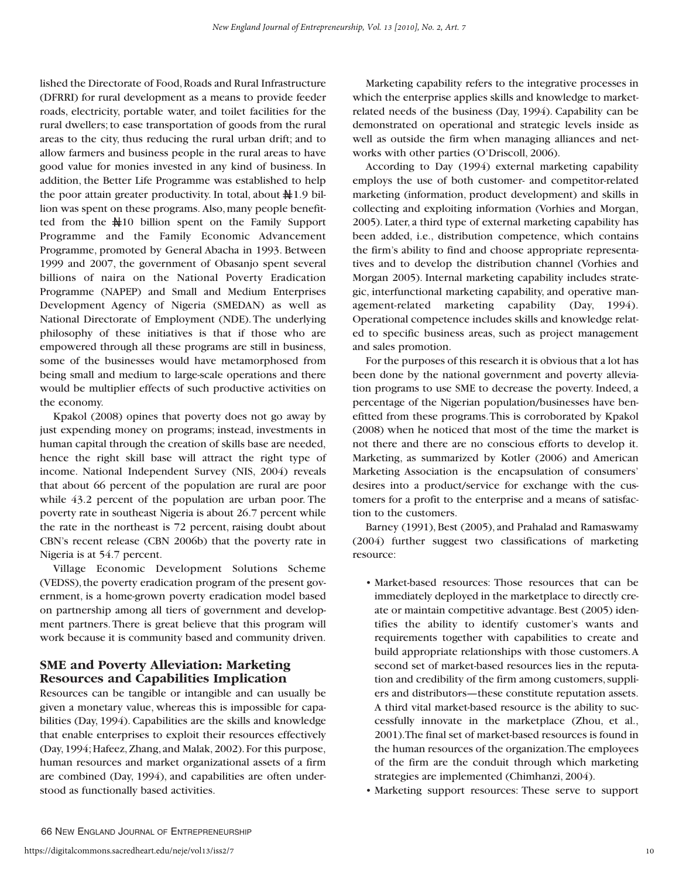lished the Directorate of Food,Roads and Rural Infrastructure (DFRRI) for rural development as a means to provide feeder roads, electricity, portable water, and toilet facilities for the rural dwellers; to ease transportation of goods from the rural areas to the city, thus reducing the rural urban drift; and to allow farmers and business people in the rural areas to have good value for monies invested in any kind of business. In addition, the Better Life Programme was established to help the poor attain greater productivity. In total, about  $\#1.9$  billion was spent on these programs. Also, many people benefitted from the  $\#10$  billion spent on the Family Support Programme and the Family Economic Advancement Programme, promoted by General Abacha in 1993. Between 1999 and 2007, the government of Obasanjo spent several billions of naira on the National Poverty Eradication Programme (NAPEP) and Small and Medium Enterprises Development Agency of Nigeria (SMEDAN) as well as National Directorate of Employment (NDE). The underlying philosophy of these initiatives is that if those who are empowered through all these programs are still in business, some of the businesses would have metamorphosed from being small and medium to large-scale operations and there would be multiplier effects of such productive activities on the economy.

Kpakol (2008) opines that poverty does not go away by just expending money on programs; instead, investments in human capital through the creation of skills base are needed, hence the right skill base will attract the right type of income. National Independent Survey (NIS, 2004) reveals that about 66 percent of the population are rural are poor while 43.2 percent of the population are urban poor. The poverty rate in southeast Nigeria is about 26.7 percent while the rate in the northeast is 72 percent, raising doubt about CBN's recent release (CBN 2006b) that the poverty rate in Nigeria is at 54.7 percent.

Village Economic Development Solutions Scheme (VEDSS), the poverty eradication program of the present government, is a home-grown poverty eradication model based on partnership among all tiers of government and development partners.There is great believe that this program will work because it is community based and community driven.

## **SME and Poverty Alleviation: Marketing Resources and Capabilities Implication**

Resources can be tangible or intangible and can usually be given a monetary value, whereas this is impossible for capabilities (Day, 1994). Capabilities are the skills and knowledge that enable enterprises to exploit their resources effectively (Day,1994;Hafeez,Zhang,and Malak,2002).For this purpose, human resources and market organizational assets of a firm are combined (Day, 1994), and capabilities are often understood as functionally based activities.

Marketing capability refers to the integrative processes in which the enterprise applies skills and knowledge to marketrelated needs of the business (Day, 1994). Capability can be demonstrated on operational and strategic levels inside as well as outside the firm when managing alliances and networks with other parties (O'Driscoll, 2006).

According to Day (1994) external marketing capability employs the use of both customer- and competitor-related marketing (information, product development) and skills in collecting and exploiting information (Vorhies and Morgan, 2005). Later, a third type of external marketing capability has been added, i.e., distribution competence, which contains the firm's ability to find and choose appropriate representatives and to develop the distribution channel (Vorhies and Morgan 2005). Internal marketing capability includes strategic, interfunctional marketing capability, and operative management-related marketing capability (Day, 1994). Operational competence includes skills and knowledge related to specific business areas, such as project management and sales promotion.

For the purposes of this research it is obvious that a lot has been done by the national government and poverty alleviation programs to use SME to decrease the poverty. Indeed, a percentage of the Nigerian population/businesses have benefitted from these programs.This is corroborated by Kpakol (2008) when he noticed that most of the time the market is not there and there are no conscious efforts to develop it. Marketing, as summarized by Kotler (2006) and American Marketing Association is the encapsulation of consumers' desires into a product/service for exchange with the customers for a profit to the enterprise and a means of satisfaction to the customers.

Barney (1991), Best (2005), and Prahalad and Ramaswamy (2004) further suggest two classifications of marketing resource:

- Market-based resources: Those resources that can be immediately deployed in the marketplace to directly create or maintain competitive advantage. Best (2005) identifies the ability to identify customer's wants and requirements together with capabilities to create and build appropriate relationships with those customers.A second set of market-based resources lies in the reputation and credibility of the firm among customers, suppliers and distributors—these constitute reputation assets. A third vital market-based resource is the ability to successfully innovate in the marketplace (Zhou, et al., 2001).The final set of market-based resources is found in the human resources of the organization.The employees of the firm are the conduit through which marketing strategies are implemented (Chimhanzi, 2004).
- Marketing support resources: These serve to support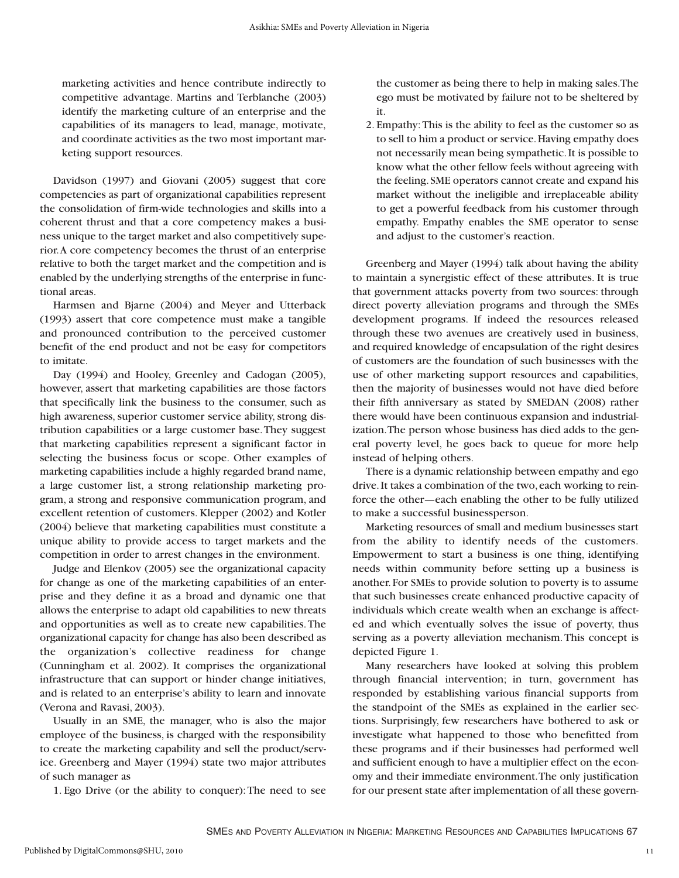marketing activities and hence contribute indirectly to competitive advantage. Martins and Terblanche (2003) identify the marketing culture of an enterprise and the capabilities of its managers to lead, manage, motivate, and coordinate activities as the two most important marketing support resources.

Davidson (1997) and Giovani (2005) suggest that core competencies as part of organizational capabilities represent the consolidation of firm-wide technologies and skills into a coherent thrust and that a core competency makes a business unique to the target market and also competitively superior.A core competency becomes the thrust of an enterprise relative to both the target market and the competition and is enabled by the underlying strengths of the enterprise in functional areas.

Harmsen and Bjarne (2004) and Meyer and Utterback (1993) assert that core competence must make a tangible and pronounced contribution to the perceived customer benefit of the end product and not be easy for competitors to imitate.

Day (1994) and Hooley, Greenley and Cadogan (2005), however, assert that marketing capabilities are those factors that specifically link the business to the consumer, such as high awareness, superior customer service ability, strong distribution capabilities or a large customer base.They suggest that marketing capabilities represent a significant factor in selecting the business focus or scope. Other examples of marketing capabilities include a highly regarded brand name, a large customer list, a strong relationship marketing program, a strong and responsive communication program, and excellent retention of customers. Klepper (2002) and Kotler (2004) believe that marketing capabilities must constitute a unique ability to provide access to target markets and the competition in order to arrest changes in the environment.

Judge and Elenkov (2005) see the organizational capacity for change as one of the marketing capabilities of an enterprise and they define it as a broad and dynamic one that allows the enterprise to adapt old capabilities to new threats and opportunities as well as to create new capabilities.The organizational capacity for change has also been described as the organization's collective readiness for change (Cunningham et al. 2002). It comprises the organizational infrastructure that can support or hinder change initiatives, and is related to an enterprise's ability to learn and innovate (Verona and Ravasi, 2003).

Usually in an SME, the manager, who is also the major employee of the business, is charged with the responsibility to create the marketing capability and sell the product/service. Greenberg and Mayer (1994) state two major attributes of such manager as

1. Ego Drive (or the ability to conquer):The need to see

the customer as being there to help in making sales.The ego must be motivated by failure not to be sheltered by it.

2. Empathy: This is the ability to feel as the customer so as to sell to him a product or service.Having empathy does not necessarily mean being sympathetic.It is possible to know what the other fellow feels without agreeing with the feeling.SME operators cannot create and expand his market without the ineligible and irreplaceable ability to get a powerful feedback from his customer through empathy. Empathy enables the SME operator to sense and adjust to the customer's reaction.

Greenberg and Mayer (1994) talk about having the ability to maintain a synergistic effect of these attributes. It is true that government attacks poverty from two sources: through direct poverty alleviation programs and through the SMEs development programs. If indeed the resources released through these two avenues are creatively used in business, and required knowledge of encapsulation of the right desires of customers are the foundation of such businesses with the use of other marketing support resources and capabilities, then the majority of businesses would not have died before their fifth anniversary as stated by SMEDAN (2008) rather there would have been continuous expansion and industrialization.The person whose business has died adds to the general poverty level, he goes back to queue for more help instead of helping others.

There is a dynamic relationship between empathy and ego drive.It takes a combination of the two,each working to reinforce the other—each enabling the other to be fully utilized to make a successful businessperson.

Marketing resources of small and medium businesses start from the ability to identify needs of the customers. Empowerment to start a business is one thing, identifying needs within community before setting up a business is another.For SMEs to provide solution to poverty is to assume that such businesses create enhanced productive capacity of individuals which create wealth when an exchange is affected and which eventually solves the issue of poverty, thus serving as a poverty alleviation mechanism.This concept is depicted Figure 1.

Many researchers have looked at solving this problem through financial intervention; in turn, government has responded by establishing various financial supports from the standpoint of the SMEs as explained in the earlier sections. Surprisingly, few researchers have bothered to ask or investigate what happened to those who benefitted from these programs and if their businesses had performed well and sufficient enough to have a multiplier effect on the economy and their immediate environment.The only justification for our present state after implementation of all these govern-

SMES AND POVERTY ALLEVIATION IN NIGERIA: MARKETING RESOURCES AND CAPABILITIES IMPLICATIONS 67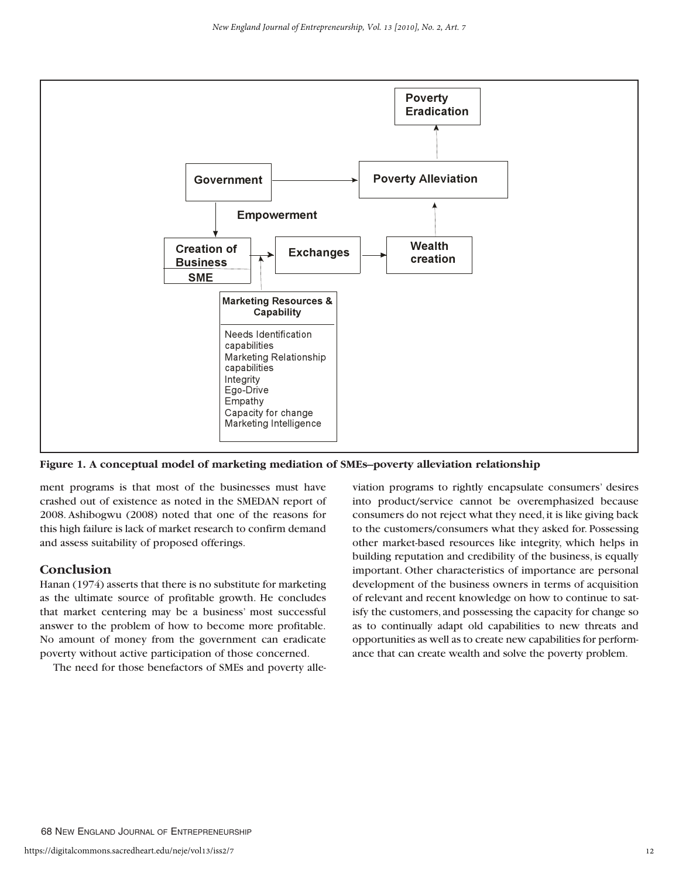

**Figure 1. A conceptual model of marketing mediation of SMEs–poverty alleviation relationship**

ment programs is that most of the businesses must have crashed out of existence as noted in the SMEDAN report of 2008. Ashibogwu (2008) noted that one of the reasons for this high failure is lack of market research to confirm demand and assess suitability of proposed offerings.

# **Conclusion**

Hanan (1974) asserts that there is no substitute for marketing as the ultimate source of profitable growth. He concludes that market centering may be a business' most successful answer to the problem of how to become more profitable. No amount of money from the government can eradicate poverty without active participation of those concerned.

The need for those benefactors of SMEs and poverty alle-

viation programs to rightly encapsulate consumers' desires into product/service cannot be overemphasized because consumers do not reject what they need,it is like giving back to the customers/consumers what they asked for. Possessing other market-based resources like integrity, which helps in building reputation and credibility of the business, is equally important. Other characteristics of importance are personal development of the business owners in terms of acquisition of relevant and recent knowledge on how to continue to satisfy the customers, and possessing the capacity for change so as to continually adapt old capabilities to new threats and opportunities as well as to create new capabilities for performance that can create wealth and solve the poverty problem.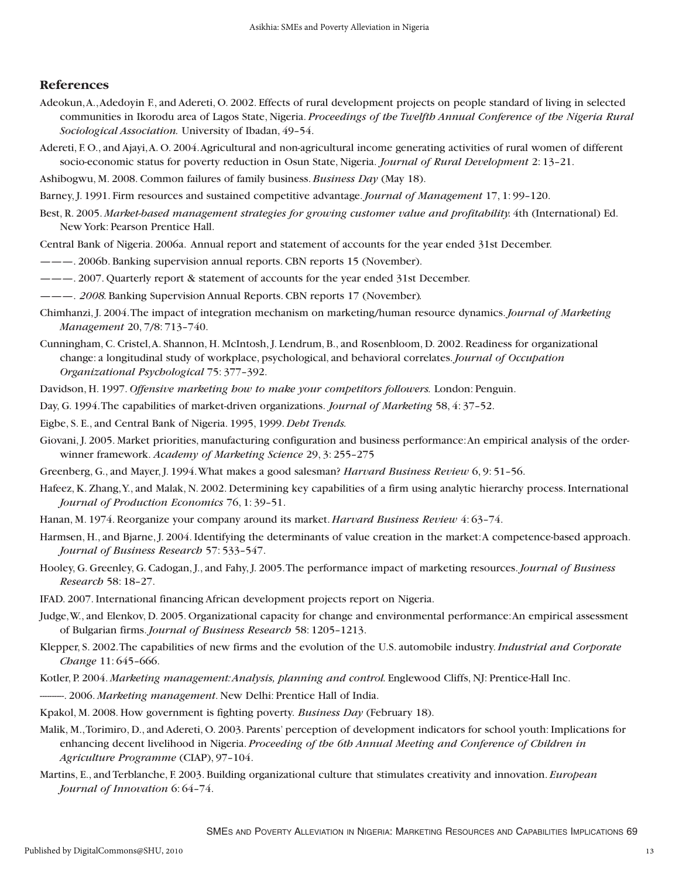#### **References**

- Adeokun,A.,Adedoyin F., and Adereti, O. 2002. Effects of rural development projects on people standard of living in selected communities in Ikorodu area of Lagos State, Nigeria. *Proceedings of the Twelfth Annual Conference of the Nigeria Rural Sociological Association.* University of Ibadan, 49–54.
- Adereti, F. O., and Ajayi,A. O. 2004.Agricultural and non-agricultural income generating activities of rural women of different socio-economic status for poverty reduction in Osun State, Nigeria. *Journal of Rural Development* 2: 13–21.
- Ashibogwu, M. 2008. Common failures of family business. *Business Day* (May 18).
- Barney, J. 1991. Firm resources and sustained competitive advantage.*Journal of Management* 17, 1: 99–120.
- Best, R. 2005. *Market-based management strategies for growing customer value and profitability.* 4th (International) Ed. New York: Pearson Prentice Hall.
- Central Bank of Nigeria. 2006a. Annual report and statement of accounts for the year ended 31st December.
- ———. 2006b. Banking supervision annual reports. CBN reports 15 (November).
- --- 2007. Quarterly report & statement of accounts for the year ended 31st December.
- ———. *2008.* Banking Supervision Annual Reports. CBN reports 17 (November)*.*
- Chimhanzi, J. 2004.The impact of integration mechanism on marketing/human resource dynamics.*Journal of Marketing Management* 20, 7/8: 713–740.
- Cunningham, C. Cristel,A. Shannon, H. McIntosh, J. Lendrum, B., and Rosenbloom, D. 2002. Readiness for organizational change: a longitudinal study of workplace, psychological, and behavioral correlates.*Journal of Occupation Organizational Psychological* 75: 377–392.
- Davidson, H. 1997. *Offensive marketing how to make your competitors followers.* London: Penguin.
- Day, G. 1994.The capabilities of market-driven organizations. *Journal of Marketing* 58, 4: 37–52.
- Eigbe, S. E., and Central Bank of Nigeria. 1995, 1999. *Debt Trends.*
- Giovani, J. 2005. Market priorities, manufacturing configuration and business performance: An empirical analysis of the orderwinner framework. *Academy of Marketing Science* 29, 3: 255–275
- Greenberg, G., and Mayer, J. 1994.What makes a good salesman? *Harvard Business Review* 6, 9: 51–56.
- Hafeez, K. Zhang,Y., and Malak, N. 2002. Determining key capabilities of a firm using analytic hierarchy process. International *Journal of Production Economics* 76, 1: 39–51.
- Hanan, M. 1974. Reorganize your company around its market. *Harvard Business Review* 4: 63–74.
- Harmsen, H., and Bjarne, J. 2004. Identifying the determinants of value creation in the market:A competence-based approach. *Journal of Business Research* 57: 533–547.
- Hooley, G. Greenley, G. Cadogan, J., and Fahy, J. 2005.The performance impact of marketing resources.*Journal of Business Research* 58: 18–27.
- IFAD. 2007. International financing African development projects report on Nigeria.
- Judge,W., and Elenkov, D. 2005. Organizational capacity for change and environmental performance:An empirical assessment of Bulgarian firms.*Journal of Business Research* 58: 1205–1213.
- Klepper, S. 2002.The capabilities of new firms and the evolution of the U.S. automobile industry.*Industrial and Corporate Change* 11: 645–666.
- Kotler, P. 2004. *Marketing management:Analysis, planning and control.* Englewood Cliffs, NJ: Prentice-Hall Inc.
- ----------. 2006. *Marketing management*. New Delhi: Prentice Hall of India.
- Kpakol, M. 2008. How government is fighting poverty. *Business Day* (February 18).
- Malik, M.,Torimiro, D., and Adereti, O. 2003. Parents' perception of development indicators for school youth: Implications for enhancing decent livelihood in Nigeria. *Proceeding of the 6th Annual Meeting and Conference of Children in Agriculture Programme* (CIAP), 97–104.
- Martins, E., and Terblanche, F. 2003. Building organizational culture that stimulates creativity and innovation. *European Journal of Innovation* 6: 64–74.